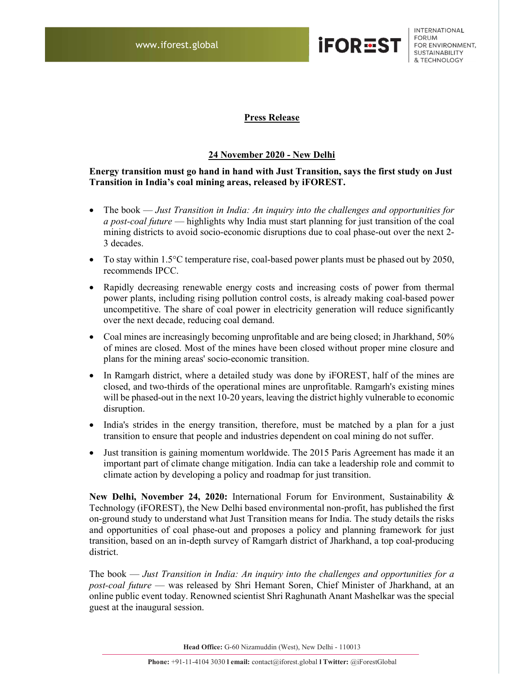

INTERNATIONAL **FORUM** FOR ENVIRONMENT, **SUSTAINABILITY** & TECHNOLOGY

## Press Release

## 24 November 2020 - New Delhi

## Energy transition must go hand in hand with Just Transition, says the first study on Just Transition in India's coal mining areas, released by iFOREST.

- The book Just Transition in India: An inquiry into the challenges and opportunities for a post-coal future — highlights why India must start planning for just transition of the coal mining districts to avoid socio-economic disruptions due to coal phase-out over the next 2- 3 decades.
- To stay within 1.5°C temperature rise, coal-based power plants must be phased out by 2050, recommends IPCC.
- Rapidly decreasing renewable energy costs and increasing costs of power from thermal power plants, including rising pollution control costs, is already making coal-based power uncompetitive. The share of coal power in electricity generation will reduce significantly over the next decade, reducing coal demand.
- Coal mines are increasingly becoming unprofitable and are being closed; in Jharkhand, 50% of mines are closed. Most of the mines have been closed without proper mine closure and plans for the mining areas' socio-economic transition.
- In Ramgarh district, where a detailed study was done by iFOREST, half of the mines are closed, and two-thirds of the operational mines are unprofitable. Ramgarh's existing mines will be phased-out in the next 10-20 years, leaving the district highly vulnerable to economic disruption.
- India's strides in the energy transition, therefore, must be matched by a plan for a just transition to ensure that people and industries dependent on coal mining do not suffer.
- Just transition is gaining momentum worldwide. The 2015 Paris Agreement has made it an important part of climate change mitigation. India can take a leadership role and commit to climate action by developing a policy and roadmap for just transition.

New Delhi, November 24, 2020: International Forum for Environment, Sustainability & Technology (iFOREST), the New Delhi based environmental non-profit, has published the first on-ground study to understand what Just Transition means for India. The study details the risks and opportunities of coal phase-out and proposes a policy and planning framework for just transition, based on an in-depth survey of Ramgarh district of Jharkhand, a top coal-producing district.

The book — Just Transition in India: An inquiry into the challenges and opportunities for a post-coal future - was released by Shri Hemant Soren, Chief Minister of Jharkhand, at an online public event today. Renowned scientist Shri Raghunath Anant Mashelkar was the special guest at the inaugural session.

Head Office: G-60 Nizamuddin (West), New Delhi - 110013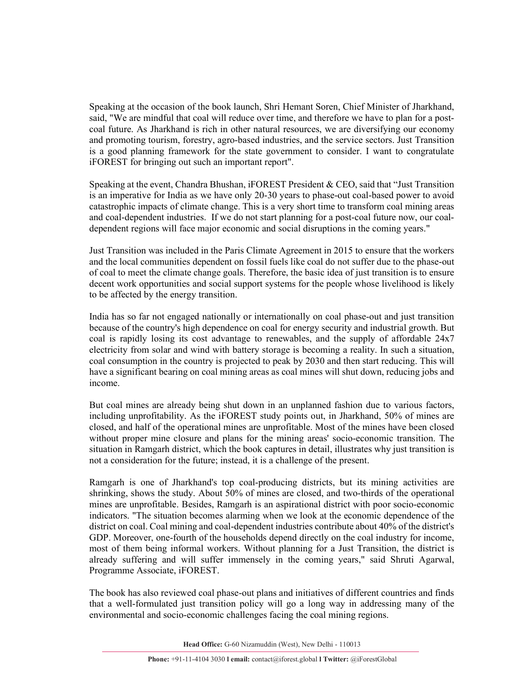Speaking at the occasion of the book launch, Shri Hemant Soren, Chief Minister of Jharkhand, said, "We are mindful that coal will reduce over time, and therefore we have to plan for a postcoal future. As Jharkhand is rich in other natural resources, we are diversifying our economy and promoting tourism, forestry, agro-based industries, and the service sectors. Just Transition is a good planning framework for the state government to consider. I want to congratulate iFOREST for bringing out such an important report".

Speaking at the event, Chandra Bhushan, iFOREST President & CEO, said that "Just Transition is an imperative for India as we have only 20-30 years to phase-out coal-based power to avoid catastrophic impacts of climate change. This is a very short time to transform coal mining areas and coal-dependent industries. If we do not start planning for a post-coal future now, our coaldependent regions will face major economic and social disruptions in the coming years."

Just Transition was included in the Paris Climate Agreement in 2015 to ensure that the workers and the local communities dependent on fossil fuels like coal do not suffer due to the phase-out of coal to meet the climate change goals. Therefore, the basic idea of just transition is to ensure decent work opportunities and social support systems for the people whose livelihood is likely to be affected by the energy transition.

India has so far not engaged nationally or internationally on coal phase-out and just transition because of the country's high dependence on coal for energy security and industrial growth. But coal is rapidly losing its cost advantage to renewables, and the supply of affordable 24x7 electricity from solar and wind with battery storage is becoming a reality. In such a situation, coal consumption in the country is projected to peak by 2030 and then start reducing. This will have a significant bearing on coal mining areas as coal mines will shut down, reducing jobs and income.

But coal mines are already being shut down in an unplanned fashion due to various factors, including unprofitability. As the iFOREST study points out, in Jharkhand, 50% of mines are closed, and half of the operational mines are unprofitable. Most of the mines have been closed without proper mine closure and plans for the mining areas' socio-economic transition. The situation in Ramgarh district, which the book captures in detail, illustrates why just transition is not a consideration for the future; instead, it is a challenge of the present.

Ramgarh is one of Jharkhand's top coal-producing districts, but its mining activities are shrinking, shows the study. About 50% of mines are closed, and two-thirds of the operational mines are unprofitable. Besides, Ramgarh is an aspirational district with poor socio-economic indicators. "The situation becomes alarming when we look at the economic dependence of the district on coal. Coal mining and coal-dependent industries contribute about 40% of the district's GDP. Moreover, one-fourth of the households depend directly on the coal industry for income, most of them being informal workers. Without planning for a Just Transition, the district is already suffering and will suffer immensely in the coming years," said Shruti Agarwal, Programme Associate, iFOREST.

The book has also reviewed coal phase-out plans and initiatives of different countries and finds that a well-formulated just transition policy will go a long way in addressing many of the environmental and socio-economic challenges facing the coal mining regions.

Head Office: G-60 Nizamuddin (West), New Delhi - 110013